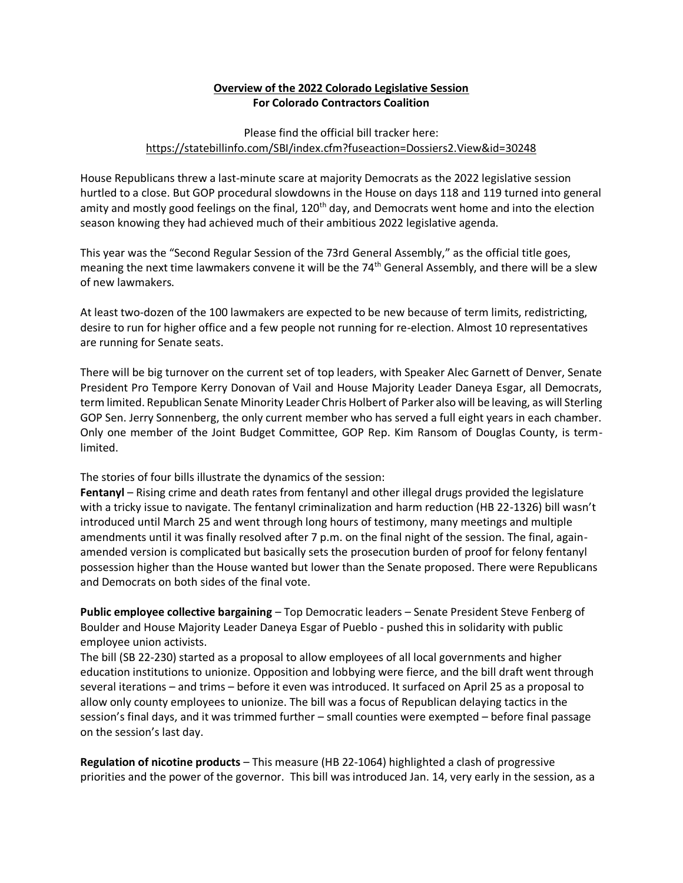# **Overview of the 2022 Colorado Legislative Session For Colorado Contractors Coalition**

## Please find the official bill tracker here: <https://statebillinfo.com/SBI/index.cfm?fuseaction=Dossiers2.View&id=30248>

House Republicans threw a last-minute scare at majority Democrats as the 2022 legislative session hurtled to a close. But GOP procedural slowdowns in the House on days 118 and 119 turned into general amity and mostly good feelings on the final,  $120<sup>th</sup>$  day, and Democrats went home and into the election season knowing they had achieved much of their ambitious 2022 legislative agenda.

This year was the "Second Regular Session of the 73rd General Assembly," as the official title goes, meaning the next time lawmakers convene it will be the 74<sup>th</sup> General Assembly, and there will be a slew of new lawmakers.

At least two-dozen of the 100 lawmakers are expected to be new because of term limits, redistricting, desire to run for higher office and a few people not running for re-election. Almost 10 representatives are running for Senate seats.

There will be big turnover on the current set of top leaders, with Speaker Alec Garnett of Denver, Senate President Pro Tempore Kerry Donovan of Vail and House Majority Leader Daneya Esgar, all Democrats, term limited. Republican Senate Minority Leader Chris Holbert of Parker also will be leaving, as will Sterling GOP Sen. Jerry Sonnenberg, the only current member who has served a full eight years in each chamber. Only one member of the Joint Budget Committee, GOP Rep. Kim Ransom of Douglas County, is termlimited.

The stories of four bills illustrate the dynamics of the session:

**Fentanyl** – Rising crime and death rates from fentanyl and other illegal drugs provided the legislature with a tricky issue to navigate. The fentanyl criminalization and harm reduction (HB 22-1326) bill wasn't introduced until March 25 and went through long hours of testimony, many meetings and multiple amendments until it was finally resolved after 7 p.m. on the final night of the session. The final, againamended version is complicated but basically sets the prosecution burden of proof for felony fentanyl possession higher than the House wanted but lower than the Senate proposed. There were Republicans and Democrats on both sides of the final vote.

**Public employee collective bargaining** – Top Democratic leaders – Senate President Steve Fenberg of Boulder and House Majority Leader Daneya Esgar of Pueblo - pushed this in solidarity with public employee union activists.

The bill (SB 22-230) started as a proposal to allow employees of all local governments and higher education institutions to unionize. Opposition and lobbying were fierce, and the bill draft went through several iterations – and trims – before it even was introduced. It surfaced on April 25 as a proposal to allow only county employees to unionize. The bill was a focus of Republican delaying tactics in the session's final days, and it was trimmed further – small counties were exempted – before final passage on the session's last day.

**Regulation of nicotine products** – This measure (HB 22-1064) highlighted a clash of progressive priorities and the power of the governor. This bill was introduced Jan. 14, very early in the session, as a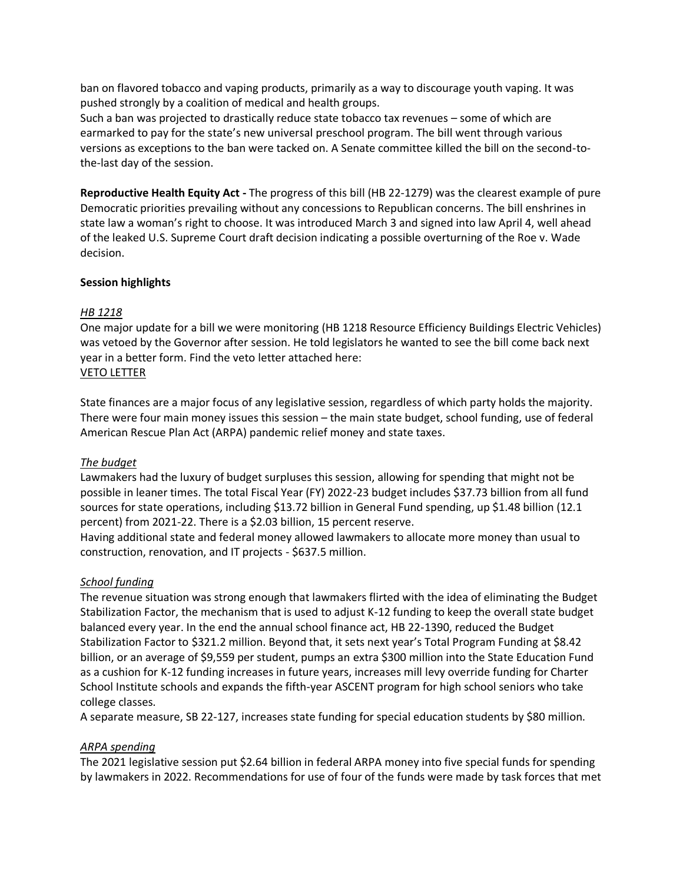ban on flavored tobacco and vaping products, primarily as a way to discourage youth vaping. It was pushed strongly by a coalition of medical and health groups.

Such a ban was projected to drastically reduce state tobacco tax revenues – some of which are earmarked to pay for the state's new universal preschool program. The bill went through various versions as exceptions to the ban were tacked on. A Senate committee killed the bill on the second-tothe-last day of the session.

**Reproductive Health Equity Act -** The progress of this bill (HB 22-1279) was the clearest example of pure Democratic priorities prevailing without any concessions to Republican concerns. The bill enshrines in state law a woman's right to choose. It was introduced March 3 and signed into law April 4, well ahead of the leaked U.S. Supreme Court draft decision indicating a possible overturning of the Roe v. Wade decision.

## **Session highlights**

## *HB 1218*

One major update for a bill we were monitoring (HB 1218 Resource Efficiency Buildings Electric Vehicles) was vetoed by the Governor after session. He told legislators he wanted to see the bill come back next year in a better form. Find the veto letter attached here: [VETO LETTER](https://drive.google.com/file/d/1Kc8r0nAag0r7AXTW4QhwQQqIMJ335HNu/view?usp=sharing)

State finances are a major focus of any legislative session, regardless of which party holds the majority. There were four main money issues this session – the main state budget, school funding, use of federal American Rescue Plan Act (ARPA) pandemic relief money and state taxes.

## *The budget*

Lawmakers had the luxury of budget surpluses this session, allowing for spending that might not be possible in leaner times. The total Fiscal Year (FY) 2022-23 budget includes \$37.73 billion from all fund sources for state operations, including \$13.72 billion in General Fund spending, up \$1.48 billion (12.1 percent) from 2021-22. There is a \$2.03 billion, 15 percent reserve.

Having additional state and federal money allowed lawmakers to allocate more money than usual to construction, renovation, and IT projects - \$637.5 million.

#### *School funding*

The revenue situation was strong enough that lawmakers flirted with the idea of eliminating the Budget Stabilization Factor, the mechanism that is used to adjust K-12 funding to keep the overall state budget balanced every year. In the end the annual school finance act, HB 22-1390, reduced the Budget Stabilization Factor to \$321.2 million. Beyond that, it sets next year's Total Program Funding at \$8.42 billion, or an average of \$9,559 per student, pumps an extra \$300 million into the State Education Fund as a cushion for K-12 funding increases in future years, increases mill levy override funding for Charter School Institute schools and expands the fifth-year ASCENT program for high school seniors who take college classes.

A separate measure, SB 22-127, increases state funding for special education students by \$80 million.

## *ARPA spending*

The 2021 legislative session put \$2.64 billion in federal ARPA money into five special funds for spending by lawmakers in 2022. Recommendations for use of four of the funds were made by task forces that met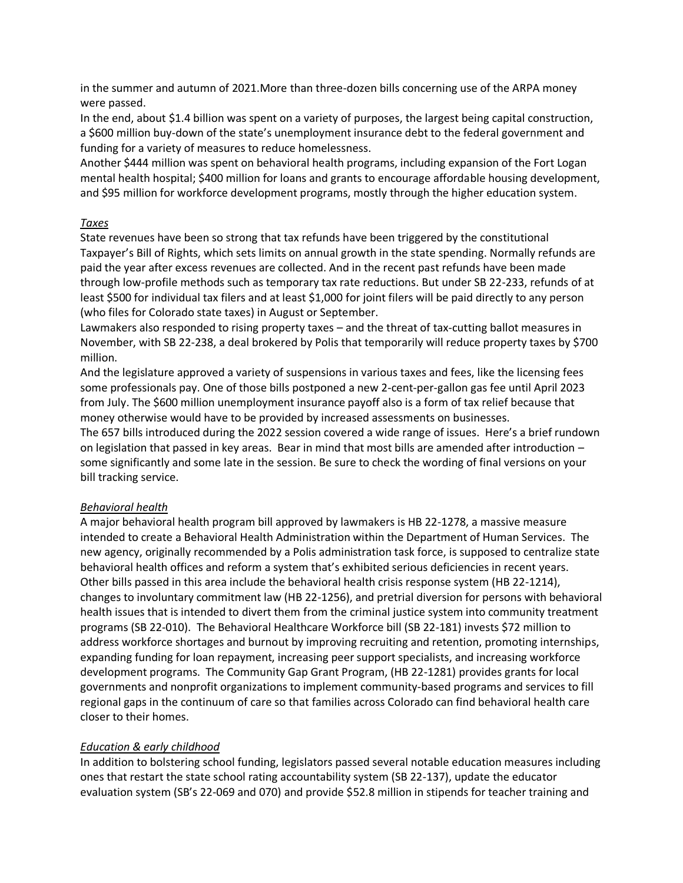in the summer and autumn of 2021.More than three-dozen bills concerning use of the ARPA money were passed.

In the end, about \$1.4 billion was spent on a variety of purposes, the largest being capital construction, a \$600 million buy-down of the state's unemployment insurance debt to the federal government and funding for a variety of measures to reduce homelessness.

Another \$444 million was spent on behavioral health programs, including expansion of the Fort Logan mental health hospital; \$400 million for loans and grants to encourage affordable housing development, and \$95 million for workforce development programs, mostly through the higher education system.

#### *Taxes*

State revenues have been so strong that tax refunds have been triggered by the constitutional Taxpayer's Bill of Rights, which sets limits on annual growth in the state spending. Normally refunds are paid the year after excess revenues are collected. And in the recent past refunds have been made through low-profile methods such as temporary tax rate reductions. But under SB 22-233, refunds of at least \$500 for individual tax filers and at least \$1,000 for joint filers will be paid directly to any person (who files for Colorado state taxes) in August or September.

Lawmakers also responded to rising property taxes – and the threat of tax-cutting ballot measures in November, with SB 22-238, a deal brokered by Polis that temporarily will reduce property taxes by \$700 million.

And the legislature approved a variety of suspensions in various taxes and fees, like the licensing fees some professionals pay. One of those bills postponed a new 2-cent-per-gallon gas fee until April 2023 from July. The \$600 million unemployment insurance payoff also is a form of tax relief because that money otherwise would have to be provided by increased assessments on businesses.

The 657 bills introduced during the 2022 session covered a wide range of issues. Here's a brief rundown on legislation that passed in key areas. Bear in mind that most bills are amended after introduction – some significantly and some late in the session. Be sure to check the wording of final versions on your bill tracking service.

#### *Behavioral health*

A major behavioral health program bill approved by lawmakers is HB 22-1278, a massive measure intended to create a Behavioral Health Administration within the Department of Human Services. The new agency, originally recommended by a Polis administration task force, is supposed to centralize state behavioral health offices and reform a system that's exhibited serious deficiencies in recent years. Other bills passed in this area include the behavioral health crisis response system (HB 22-1214), changes to involuntary commitment law (HB 22-1256), and pretrial diversion for persons with behavioral health issues that is intended to divert them from the criminal justice system into community treatment programs (SB 22-010). The Behavioral Healthcare Workforce bill (SB 22-181) invests \$72 million to address workforce shortages and burnout by improving recruiting and retention, promoting internships, expanding funding for loan repayment, increasing peer support specialists, and increasing workforce development programs. The Community Gap Grant Program, (HB 22-1281) provides grants for local governments and nonprofit organizations to implement community-based programs and services to fill regional gaps in the continuum of care so that families across Colorado can find behavioral health care closer to their homes.

## *Education & early childhood*

In addition to bolstering school funding, legislators passed several notable education measures including ones that restart the state school rating accountability system (SB 22-137), update the educator evaluation system (SB's 22-069 and 070) and provide \$52.8 million in stipends for teacher training and